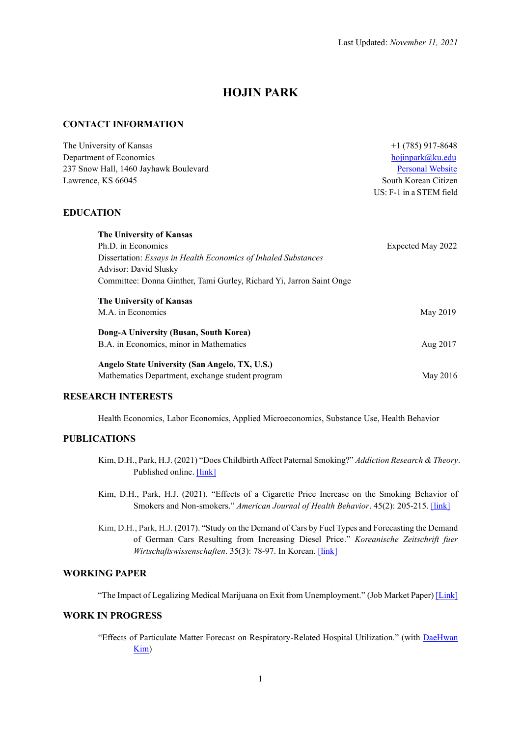# **HOJIN PARK**

#### **CONTACT INFORMATION**

| The University of Kansas                                             | $+1(785)917-8648$       |
|----------------------------------------------------------------------|-------------------------|
| Department of Economics                                              | hojinpark@ku.edu        |
| 237 Snow Hall, 1460 Jayhawk Boulevard                                | <b>Personal Website</b> |
| Lawrence, KS 66045                                                   | South Korean Citizen    |
|                                                                      | US: F-1 in a STEM field |
| <b>EDUCATION</b>                                                     |                         |
| <b>The University of Kansas</b>                                      |                         |
| Ph.D. in Economics                                                   | Expected May 2022       |
| Dissertation: Essays in Health Economics of Inhaled Substances       |                         |
| Advisor: David Slusky                                                |                         |
| Committee: Donna Ginther, Tami Gurley, Richard Yi, Jarron Saint Onge |                         |
| The University of Kansas                                             |                         |
| M.A. in Economics                                                    | May 2019                |
| Dong-A University (Busan, South Korea)                               |                         |
| B.A. in Economics, minor in Mathematics                              | Aug 2017                |
| Angelo State University (San Angelo, TX, U.S.)                       |                         |
| Mathematics Department, exchange student program                     | May 2016                |

### **RESEARCH INTERESTS**

Health Economics, Labor Economics, Applied Microeconomics, Substance Use, Health Behavior

# **PUBLICATIONS**

- Kim, D.H., Park, H.J. (2021) "Does Childbirth Affect Paternal Smoking?" *Addiction Research & Theory*. Published online. [\[link\]](https://doi.org/10.1080/16066359.2021.1995369)
- Kim, D.H., Park, H.J. (2021). "Effects of a Cigarette Price Increase on the Smoking Behavior of Smokers and Non-smokers." *American Journal of Health Behavior*. 45(2): 205-215. [\[link\]](https://www.ingentaconnect.com/contentone/png/ajhb/2021/00000045/00000002/art00001)
- Kim, D.H., Park, H.J. (2017). "Study on the Demand of Cars by Fuel Types and Forecasting the Demand of German Cars Resulting from Increasing Diesel Price." *Koreanische Zeitschrift fuer Wirtschaftswissenschaften.* 35(3): 78-97. In Korean. [\[link\]](https://kiss.kstudy.com/thesis/thesis-view.asp?key=3549030)

# **WORKING PAPER**

"The Impact of Legalizing Medical Marijuana on Exit from Unemployment." (Job Market Paper) [\[Link\]](https://drive.google.com/file/d/1rJMzISc5jxIDxaT_Gc7Z5tKSL5TXx59O/view?usp=sharing)

#### **WORK IN PROGRESS**

"Effects of Particulate Matter Forecast on Respiratory-Related Hospital Utilization." (with [DaeHwan](https://scholar.google.com/citations?user=7aU_YS4AAAAJ&hl=en)  [Kim\)](https://scholar.google.com/citations?user=7aU_YS4AAAAJ&hl=en)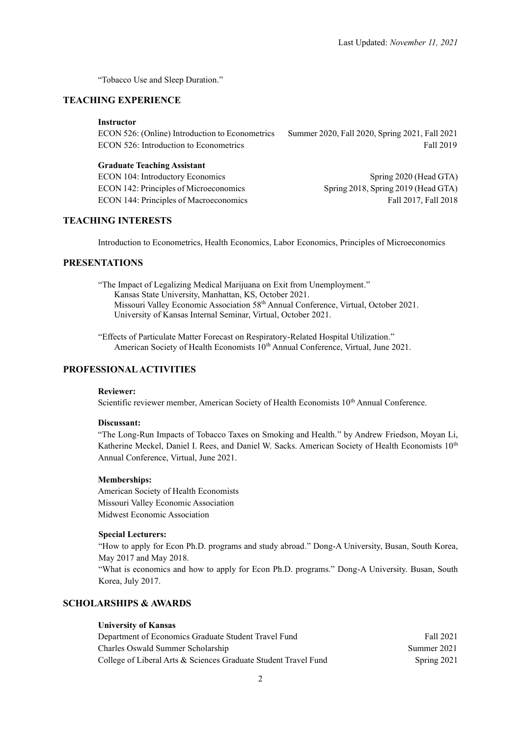"Tobacco Use and Sleep Duration."

# **TEACHING EXPERIENCE**

#### **Instructor**

ECON 526: (Online) Introduction to Econometrics Summer 2020, Fall 2020, Spring 2021, Fall 2021 ECON 526: Introduction to Econometrics Fall 2019

#### **Graduate Teaching Assistant**

ECON 104: Introductory Economics Spring 2020 (Head GTA) ECON 142: Principles of Microeconomics Spring 2018, Spring 2019 (Head GTA) ECON 144: Principles of Macroeconomics Fall 2017, Fall 2018

## **TEACHING INTERESTS**

Introduction to Econometrics, Health Economics, Labor Economics, Principles of Microeconomics

# **PRESENTATIONS**

"The Impact of Legalizing Medical Marijuana on Exit from Unemployment." Kansas State University, Manhattan, KS, October 2021. Missouri Valley Economic Association 58th Annual Conference, Virtual, October 2021. University of Kansas Internal Seminar, Virtual, October 2021.

"Effects of Particulate Matter Forecast on Respiratory-Related Hospital Utilization." American Society of Health Economists 10<sup>th</sup> Annual Conference, Virtual, June 2021.

## **PROFESSIONAL ACTIVITIES**

#### **Reviewer:**

Scientific reviewer member, American Society of Health Economists 10<sup>th</sup> Annual Conference.

#### **Discussant:**

"The Long-Run Impacts of Tobacco Taxes on Smoking and Health." by Andrew Friedson, Moyan Li, Katherine Meckel, Daniel I. Rees, and Daniel W. Sacks. American Society of Health Economists 10<sup>th</sup> Annual Conference, Virtual, June 2021.

#### **Memberships:**

American Society of Health Economists Missouri Valley Economic Association Midwest Economic Association

#### **Special Lecturers:**

"How to apply for Econ Ph.D. programs and study abroad." Dong-A University, Busan, South Korea, May 2017 and May 2018.

"What is economics and how to apply for Econ Ph.D. programs." Dong-A University. Busan, South Korea, July 2017.

## **SCHOLARSHIPS & AWARDS**

#### **University of Kansas**

| Department of Economics Graduate Student Travel Fund            | Fall 2021   |
|-----------------------------------------------------------------|-------------|
| Charles Oswald Summer Scholarship                               | Summer 2021 |
| College of Liberal Arts & Sciences Graduate Student Travel Fund | Spring 2021 |